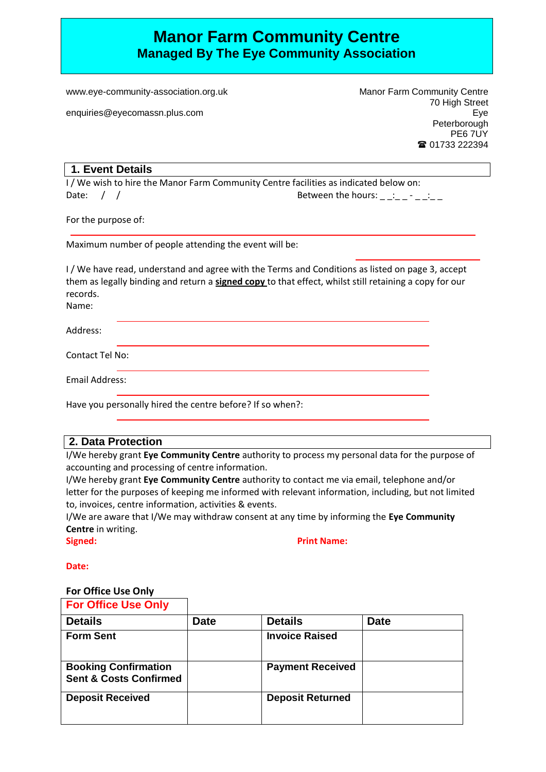# **Manor Farm Community Centre Managed By The Eye Community Association**

www.eye-community-association.org.uk

enquiries@eyecomassn.plus.com

Manor Farm Community Centre 70 High Street Eye **Peterborough** PE6 7UY ■ 01733 222394

#### **1. Event Details**

I / We wish to hire the Manor Farm Community Centre facilities as indicated below on: Date:  $\begin{array}{ccc} \end{array}$  /  $\begin{array}{ccc} \end{array}$  Date:  $\begin{array}{ccc} \end{array}$  /  $\end{array}$   $\begin{array}{ccc} \end{array}$  Between the hours:  $\begin{array}{ccc} \end{array}$   $\begin{array}{ccc} \end{array}$   $\begin{array}{ccc} \end{array}$   $\begin{array}{ccc} \end{array}$   $\end{array}$   $\begin{array}{ccc} \end{array}$   $\begin{array}{ccc} \end{array}$   $\begin{array}{ccc} \end{array}$   $\begin{array$ 

For the purpose of:

Maximum number of people attending the event will be:

I / We have read, understand and agree with the Terms and Conditions as listed on page 3, accept them as legally binding and return a **signed copy** to that effect, whilst still retaining a copy for our records.

Name:

Address: Contact Tel No: Email Address:

Have you personally hired the centre before? If so when?:

## **2. Data Protection**

I/We hereby grant **Eye Community Centre** authority to process my personal data for the purpose of accounting and processing of centre information.

I/We hereby grant **Eye Community Centre** authority to contact me via email, telephone and/or letter for the purposes of keeping me informed with relevant information, including, but not limited to, invoices, centre information, activities & events.

I/We are aware that I/We may withdraw consent at any time by informing the **Eye Community Centre** in writing.

**Signed: Print Name: Print Name: Print Name: Print Name: Print Name: Print Name: Print Name: Print Name: Print Name: Print Name: Print Name: Print Name: Print Name: Print Name: Print Name: P** 

**Date:**

#### **For Office Use Only**

| <b>For Office Use Only</b> |  |  |
|----------------------------|--|--|
|                            |  |  |

| <b>Details</b>                                                   | <b>Date</b> | <b>Details</b>          | <b>Date</b> |
|------------------------------------------------------------------|-------------|-------------------------|-------------|
| <b>Form Sent</b>                                                 |             | <b>Invoice Raised</b>   |             |
| <b>Booking Confirmation</b><br><b>Sent &amp; Costs Confirmed</b> |             | <b>Payment Received</b> |             |
| <b>Deposit Received</b>                                          |             | <b>Deposit Returned</b> |             |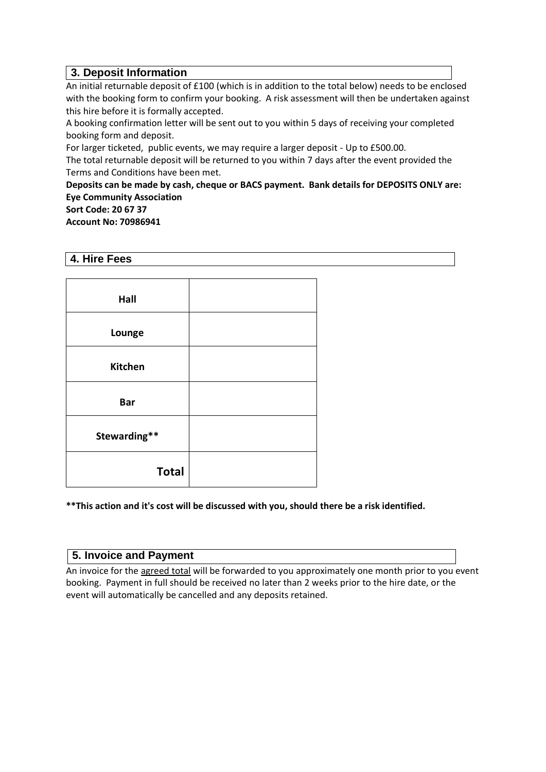# **3. Deposit Information**

An initial returnable deposit of £100 (which is in addition to the total below) needs to be enclosed with the booking form to confirm your booking. A risk assessment will then be undertaken against this hire before it is formally accepted.

A booking confirmation letter will be sent out to you within 5 days of receiving your completed booking form and deposit.

For larger ticketed, public events, we may require a larger deposit - Up to £500.00.

The total returnable deposit will be returned to you within 7 days after the event provided the Terms and Conditions have been met.

**Deposits can be made by cash, cheque or BACS payment. Bank details for DEPOSITS ONLY are: Eye Community Association**

**Sort Code: 20 67 37**

**Account No: 70986941**

#### **4. Hire Fees**

| Hall           |  |
|----------------|--|
| Lounge         |  |
| <b>Kitchen</b> |  |
| <b>Bar</b>     |  |
| Stewarding**   |  |
| <b>Total</b>   |  |

**\*\*This action and it's cost will be discussed with you, should there be a risk identified.**

## **5. Invoice and Payment**

An invoice for the agreed total will be forwarded to you approximately one month prior to you event booking. Payment in full should be received no later than 2 weeks prior to the hire date, or the event will automatically be cancelled and any deposits retained.